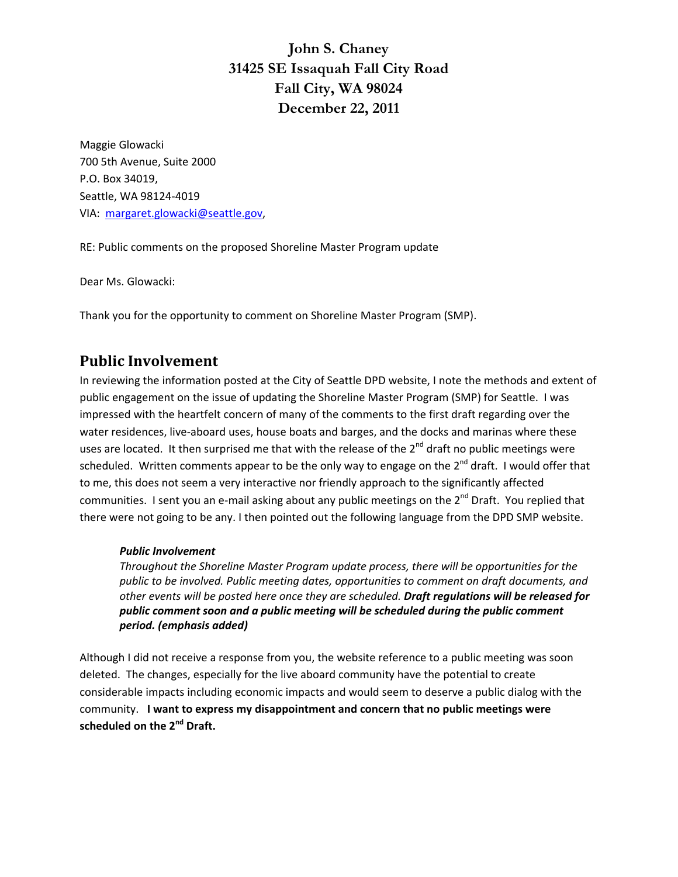**John S. Chaney 31425 SE Issaquah Fall City Road Fall City, WA 98024 December 22, 2011** 

Maggie Glowacki 700 5th Avenue, Suite 2000 P.O. Box 34019, Seattle, WA 98124‐4019 VIA: margaret.glowacki@seattle.gov,

RE: Public comments on the proposed Shoreline Master Program update

Dear Ms. Glowacki:

Thank you for the opportunity to comment on Shoreline Master Program (SMP).

### **Public Involvement**

In reviewing the information posted at the City of Seattle DPD website, I note the methods and extent of public engagement on the issue of updating the Shoreline Master Program (SMP) for Seattle. I was impressed with the heartfelt concern of many of the comments to the first draft regarding over the water residences, live-aboard uses, house boats and barges, and the docks and marinas where these uses are located. It then surprised me that with the release of the 2<sup>nd</sup> draft no public meetings were scheduled. Written comments appear to be the only way to engage on the  $2^{nd}$  draft. I would offer that to me, this does not seem a very interactive nor friendly approach to the significantly affected communities. I sent you an e-mail asking about any public meetings on the 2<sup>nd</sup> Draft. You replied that there were not going to be any. I then pointed out the following language from the DPD SMP website.

#### *Public Involvement*

*Throughout the Shoreline Master Program update process, there will be opportunities for the public to be involved. Public meeting dates, opportunities to comment on draft documents, and other events will be posted here once they are scheduled. Draft regulations will be released for public comment soon and a public meeting will be scheduled during the public comment period. (emphasis added)*

Although I did not receive a response from you, the website reference to a public meeting was soon deleted. The changes, especially for the live aboard community have the potential to create considerable impacts including economic impacts and would seem to deserve a public dialog with the community. **I want to express my disappointment and concern that no public meetings were scheduled on the 2nd Draft.**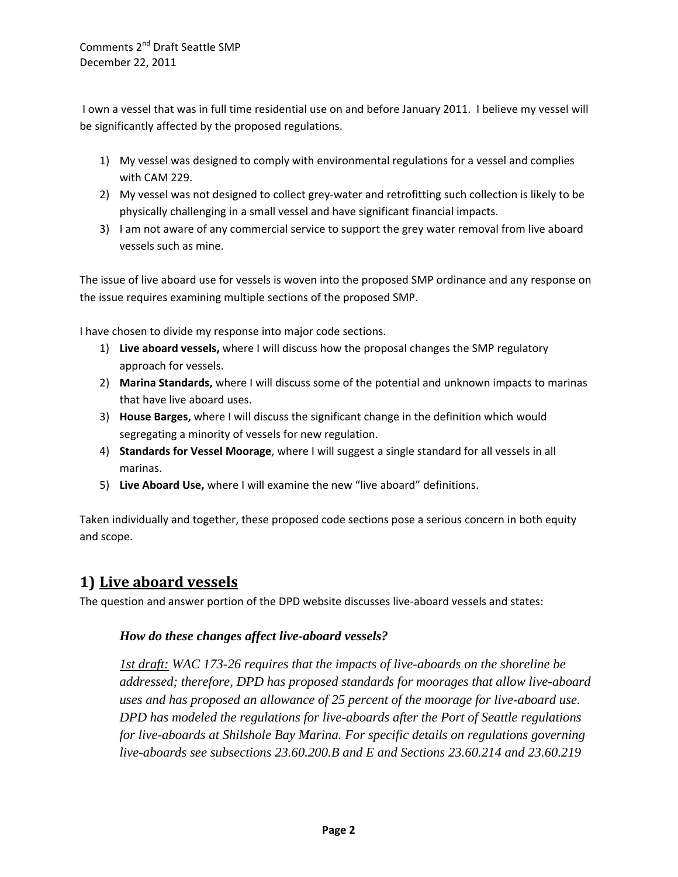Comments 2<sup>nd</sup> Draft Seattle SMP December 22, 2011

I own a vessel that was in full time residential use on and before January 2011. I believe my vessel will be significantly affected by the proposed regulations.

- 1) My vessel was designed to comply with environmental regulations for a vessel and complies with CAM 229.
- 2) My vessel was not designed to collect grey-water and retrofitting such collection is likely to be physically challenging in a small vessel and have significant financial impacts.
- 3) I am not aware of any commercial service to support the grey water removal from live aboard vessels such as mine.

The issue of live aboard use for vessels is woven into the proposed SMP ordinance and any response on the issue requires examining multiple sections of the proposed SMP.

I have chosen to divide my response into major code sections.

- 1) **Live aboard vessels,** where I will discuss how the proposal changes the SMP regulatory approach for vessels.
- 2) **Marina Standards,** where I will discuss some of the potential and unknown impacts to marinas that have live aboard uses.
- 3) **House Barges,** where I will discuss the significant change in the definition which would segregating a minority of vessels for new regulation.
- 4) **Standards for Vessel Moorage**, where I will suggest a single standard for all vessels in all marinas.
- 5) **Live Aboard Use,** where I will examine the new "live aboard" definitions.

Taken individually and together, these proposed code sections pose a serious concern in both equity and scope.

### **1) Live aboard vessels**

The question and answer portion of the DPD website discusses live‐aboard vessels and states:

### *How do these changes affect live-aboard vessels?*

*1st draft: WAC 173-26 requires that the impacts of live-aboards on the shoreline be addressed; therefore, DPD has proposed standards for moorages that allow live-aboard uses and has proposed an allowance of 25 percent of the moorage for live-aboard use. DPD has modeled the regulations for live-aboards after the Port of Seattle regulations for live-aboards at Shilshole Bay Marina. For specific details on regulations governing live-aboards see subsections 23.60.200.B and E and Sections 23.60.214 and 23.60.219*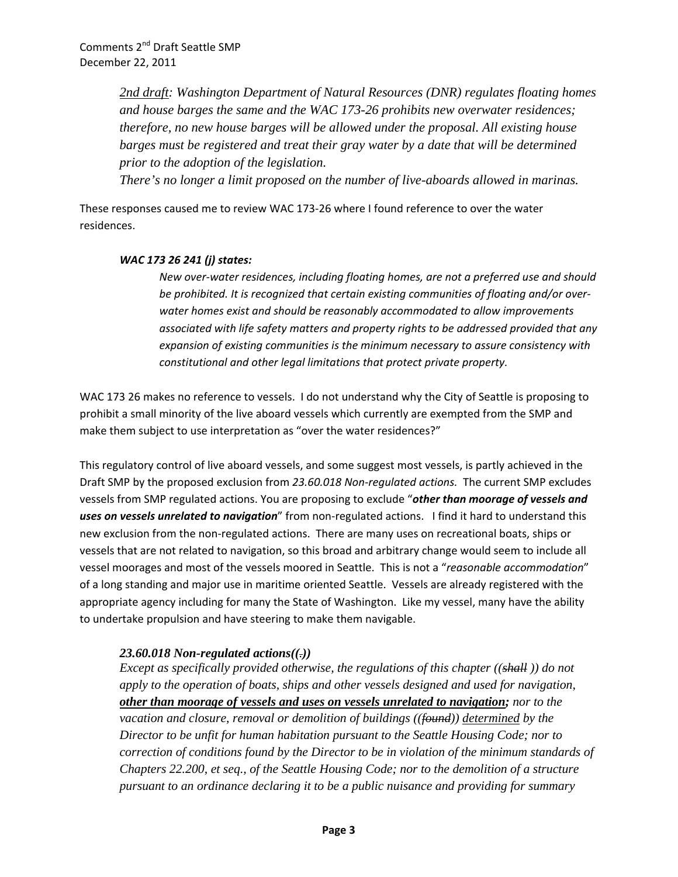*2nd draft: Washington Department of Natural Resources (DNR) regulates floating homes and house barges the same and the WAC 173-26 prohibits new overwater residences; therefore, no new house barges will be allowed under the proposal. All existing house barges must be registered and treat their gray water by a date that will be determined prior to the adoption of the legislation.* 

*There's no longer a limit proposed on the number of live-aboards allowed in marinas.* 

These responses caused me to review WAC 173‐26 where I found reference to over the water residences.

#### *WAC 173 26 241 (j) states:*

*New over‐water residences, including floating homes, are not a preferred use and should be prohibited. It is recognized that certain existing communities of floating and/or over‐ water homes exist and should be reasonably accommodated to allow improvements associated with life safety matters and property rights to be addressed provided that any expansion of existing communities is the minimum necessary to assure consistency with constitutional and other legal limitations that protect private property.*

WAC 173 26 makes no reference to vessels. I do not understand why the City of Seattle is proposing to prohibit a small minority of the live aboard vessels which currently are exempted from the SMP and make them subject to use interpretation as "over the water residences?"

This regulatory control of live aboard vessels, and some suggest most vessels, is partly achieved in the Draft SMP by the proposed exclusion from *23.60.018 Non‐regulated actions.* The current SMP excludes vessels from SMP regulated actions. You are proposing to exclude "*other than moorage of vessels and uses on vessels unrelated to navigation*" from non‐regulated actions. I find it hard to understand this new exclusion from the non-regulated actions. There are many uses on recreational boats, ships or vessels that are not related to navigation, so this broad and arbitrary change would seem to include all vessel moorages and most of the vessels moored in Seattle. This is not a "*reasonable accommodation*" of a long standing and major use in maritime oriented Seattle. Vessels are already registered with the appropriate agency including for many the State of Washington. Like my vessel, many have the ability to undertake propulsion and have steering to make them navigable.

### *23.60.018 Non-regulated actions((.))*

*Except as specifically provided otherwise, the regulations of this chapter ((shall )) do not apply to the operation of boats, ships and other vessels designed and used for navigation, other than moorage of vessels and uses on vessels unrelated to navigation; nor to the vacation and closure, removal or demolition of buildings ((found)) determined by the Director to be unfit for human habitation pursuant to the Seattle Housing Code; nor to correction of conditions found by the Director to be in violation of the minimum standards of Chapters 22.200, et seq., of the Seattle Housing Code; nor to the demolition of a structure pursuant to an ordinance declaring it to be a public nuisance and providing for summary*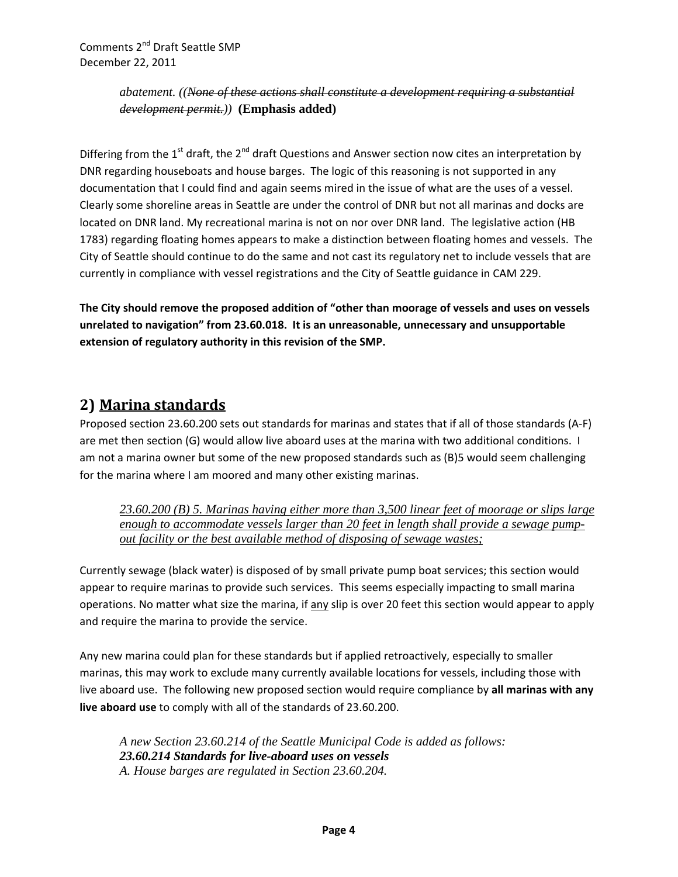*abatement. ((None of these actions shall constitute a development requiring a substantial development permit.))* **(Emphasis added)**

Differing from the  $1<sup>st</sup>$  draft, the  $2<sup>nd</sup>$  draft Questions and Answer section now cites an interpretation by DNR regarding houseboats and house barges. The logic of this reasoning is not supported in any documentation that I could find and again seems mired in the issue of what are the uses of a vessel. Clearly some shoreline areas in Seattle are under the control of DNR but not all marinas and docks are located on DNR land. My recreational marina is not on nor over DNR land. The legislative action (HB 1783) regarding floating homes appears to make a distinction between floating homes and vessels. The City of Seattle should continue to do the same and not cast its regulatory net to include vessels that are currently in compliance with vessel registrations and the City of Seattle guidance in CAM 229.

**The City should remove the proposed addition of "other than moorage of vessels and uses on vessels unrelated to navigation" from 23.60.018. It is an unreasonable, unnecessary and unsupportable extension of regulatory authority in this revision of the SMP.** 

# **2) Marina standards**

Proposed section 23.60.200 sets out standards for marinas and states that if all of those standards (A‐F) are met then section (G) would allow live aboard uses at the marina with two additional conditions. I am not a marina owner but some of the new proposed standards such as (B)5 would seem challenging for the marina where I am moored and many other existing marinas.

*23.60.200 (B) 5. Marinas having either more than 3,500 linear feet of moorage or slips large enough to accommodate vessels larger than 20 feet in length shall provide a sewage pumpout facility or the best available method of disposing of sewage wastes;* 

Currently sewage (black water) is disposed of by small private pump boat services; this section would appear to require marinas to provide such services. This seems especially impacting to small marina operations. No matter what size the marina, if any slip is over 20 feet this section would appear to apply and require the marina to provide the service.

Any new marina could plan for these standards but if applied retroactively, especially to smaller marinas, this may work to exclude many currently available locations for vessels, including those with live aboard use. The following new proposed section would require compliance by **all marinas with any live aboard use** to comply with all of the standards of 23.60.200.

*A new Section 23.60.214 of the Seattle Municipal Code is added as follows: 23.60.214 Standards for live-aboard uses on vessels A. House barges are regulated in Section 23.60.204.*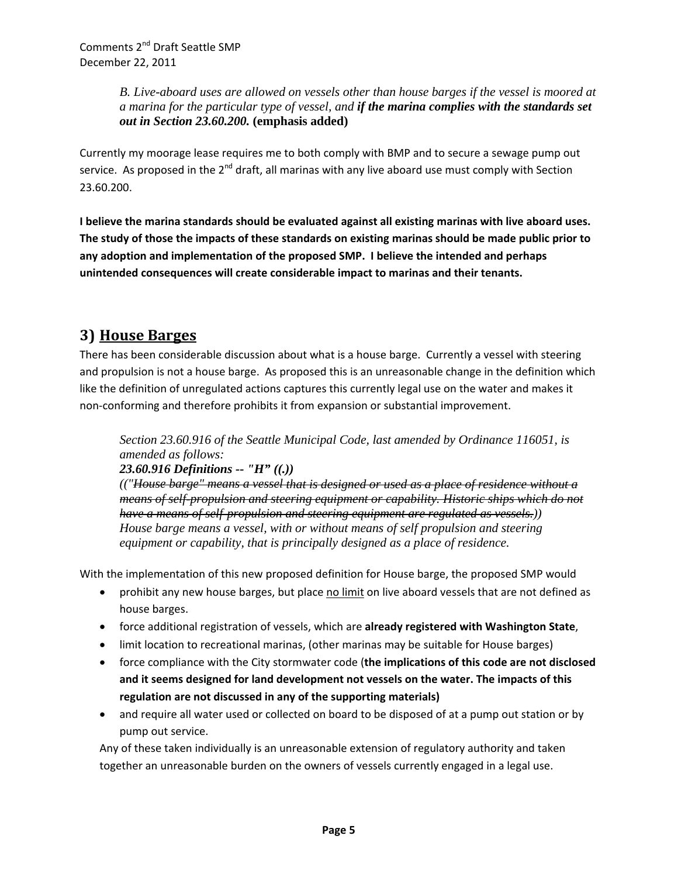*B. Live-aboard uses are allowed on vessels other than house barges if the vessel is moored at a marina for the particular type of vessel, and if the marina complies with the standards set out in Section 23.60.200.* **(emphasis added)**

Currently my moorage lease requires me to both comply with BMP and to secure a sewage pump out service. As proposed in the  $2^{nd}$  draft, all marinas with any live aboard use must comply with Section 23.60.200.

**I believe the marina standards should be evaluated against all existing marinas with live aboard uses.** The study of those the impacts of these standards on existing marinas should be made public prior to **any adoption and implementation of the proposed SMP. I believe the intended and perhaps unintended consequences will create considerable impact to marinas and their tenants.** 

# **3) House Barges**

There has been considerable discussion about what is a house barge. Currently a vessel with steering and propulsion is not a house barge. As proposed this is an unreasonable change in the definition which like the definition of unregulated actions captures this currently legal use on the water and makes it non‐conforming and therefore prohibits it from expansion or substantial improvement.

*Section 23.60.916 of the Seattle Municipal Code, last amended by Ordinance 116051, is amended as follows: 23.60.916 Definitions -- "H" ((.))*

*(("House barge" means a vessel that is designed or used as a place of residence without a means of self-propulsion and steering equipment or capability. Historic ships which do not have a means of self-propulsion and steering equipment are regulated as vessels.)) House barge means a vessel, with or without means of self propulsion and steering equipment or capability, that is principally designed as a place of residence.* 

With the implementation of this new proposed definition for House barge, the proposed SMP would

- prohibit any new house barges, but place no limit on live aboard vessels that are not defined as house barges.
- force additional registration of vessels, which are **already registered with Washington State**,
- limit location to recreational marinas, (other marinas may be suitable for House barges)
- force compliance with the City stormwater code (**the implications of this code are not disclosed and it seems designed for land development not vessels on the water. The impacts of this regulation are not discussed in any of the supporting materials)**
- and require all water used or collected on board to be disposed of at a pump out station or by pump out service.

Any of these taken individually is an unreasonable extension of regulatory authority and taken together an unreasonable burden on the owners of vessels currently engaged in a legal use.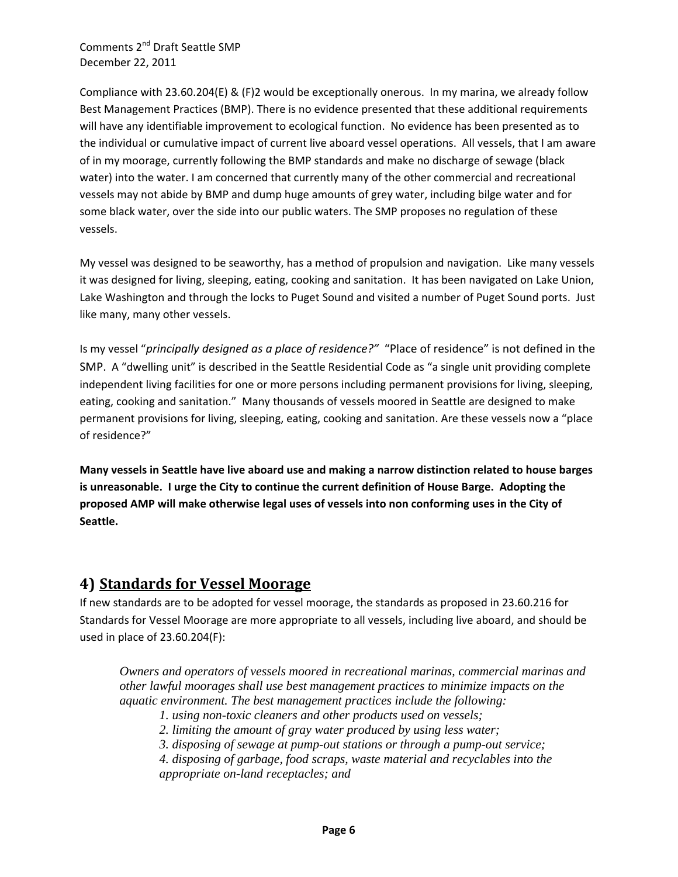Comments 2nd Draft Seattle SMP December 22, 2011

Compliance with 23.60.204(E) & (F)2 would be exceptionally onerous. In my marina, we already follow Best Management Practices (BMP). There is no evidence presented that these additional requirements will have any identifiable improvement to ecological function. No evidence has been presented as to the individual or cumulative impact of current live aboard vessel operations. All vessels, that I am aware of in my moorage, currently following the BMP standards and make no discharge of sewage (black water) into the water. I am concerned that currently many of the other commercial and recreational vessels may not abide by BMP and dump huge amounts of grey water, including bilge water and for some black water, over the side into our public waters. The SMP proposes no regulation of these vessels.

My vessel was designed to be seaworthy, has a method of propulsion and navigation. Like many vessels it was designed for living, sleeping, eating, cooking and sanitation. It has been navigated on Lake Union, Lake Washington and through the locks to Puget Sound and visited a number of Puget Sound ports. Just like many, many other vessels.

Is my vessel "*principally designed as a place of residence?"* "Place of residence" is not defined in the SMP. A "dwelling unit" is described in the Seattle Residential Code as "a single unit providing complete independent living facilities for one or more persons including permanent provisions for living, sleeping, eating, cooking and sanitation." Many thousands of vessels moored in Seattle are designed to make permanent provisions for living, sleeping, eating, cooking and sanitation. Are these vessels now a "place of residence?"

**Many vessels in Seattle have live aboard use and making a narrow distinction related to house barges is unreasonable. I urge the City to continue the current definition of House Barge. Adopting the proposed AMP will make otherwise legal uses of vessels into non conforming uses in the City of Seattle.**

# **4) Standards for Vessel Moorage**

If new standards are to be adopted for vessel moorage, the standards as proposed in 23.60.216 for Standards for Vessel Moorage are more appropriate to all vessels, including live aboard, and should be used in place of 23.60.204(F):

*Owners and operators of vessels moored in recreational marinas, commercial marinas and other lawful moorages shall use best management practices to minimize impacts on the aquatic environment. The best management practices include the following:* 

- *1. using non-toxic cleaners and other products used on vessels;*
- *2. limiting the amount of gray water produced by using less water;*
- *3. disposing of sewage at pump-out stations or through a pump-out service;*
- *4. disposing of garbage, food scraps, waste material and recyclables into the appropriate on-land receptacles; and*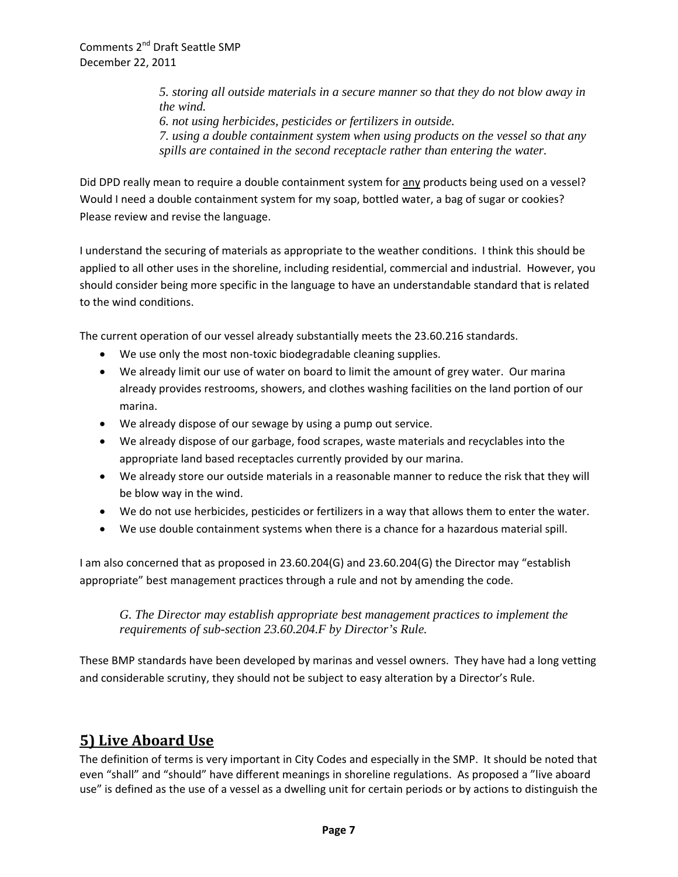*5. storing all outside materials in a secure manner so that they do not blow away in the wind. 6. not using herbicides, pesticides or fertilizers in outside. 7. using a double containment system when using products on the vessel so that any spills are contained in the second receptacle rather than entering the water.* 

Did DPD really mean to require a double containment system for any products being used on a vessel? Would I need a double containment system for my soap, bottled water, a bag of sugar or cookies? Please review and revise the language.

I understand the securing of materials as appropriate to the weather conditions. I think this should be applied to all other uses in the shoreline, including residential, commercial and industrial. However, you should consider being more specific in the language to have an understandable standard that is related to the wind conditions.

The current operation of our vessel already substantially meets the 23.60.216 standards.

- We use only the most non-toxic biodegradable cleaning supplies.
- We already limit our use of water on board to limit the amount of grey water. Our marina already provides restrooms, showers, and clothes washing facilities on the land portion of our marina.
- We already dispose of our sewage by using a pump out service.
- We already dispose of our garbage, food scrapes, waste materials and recyclables into the appropriate land based receptacles currently provided by our marina.
- We already store our outside materials in a reasonable manner to reduce the risk that they will be blow way in the wind.
- We do not use herbicides, pesticides or fertilizers in a way that allows them to enter the water.
- We use double containment systems when there is a chance for a hazardous material spill.

I am also concerned that as proposed in 23.60.204(G) and 23.60.204(G) the Director may "establish appropriate" best management practices through a rule and not by amending the code.

*G. The Director may establish appropriate best management practices to implement the requirements of sub-section 23.60.204.F by Director's Rule.* 

These BMP standards have been developed by marinas and vessel owners. They have had a long vetting and considerable scrutiny, they should not be subject to easy alteration by a Director's Rule.

# **5) Live Aboard Use**

The definition of terms is very important in City Codes and especially in the SMP. It should be noted that even "shall" and "should" have different meanings in shoreline regulations. As proposed a "live aboard use" is defined as the use of a vessel as a dwelling unit for certain periods or by actions to distinguish the